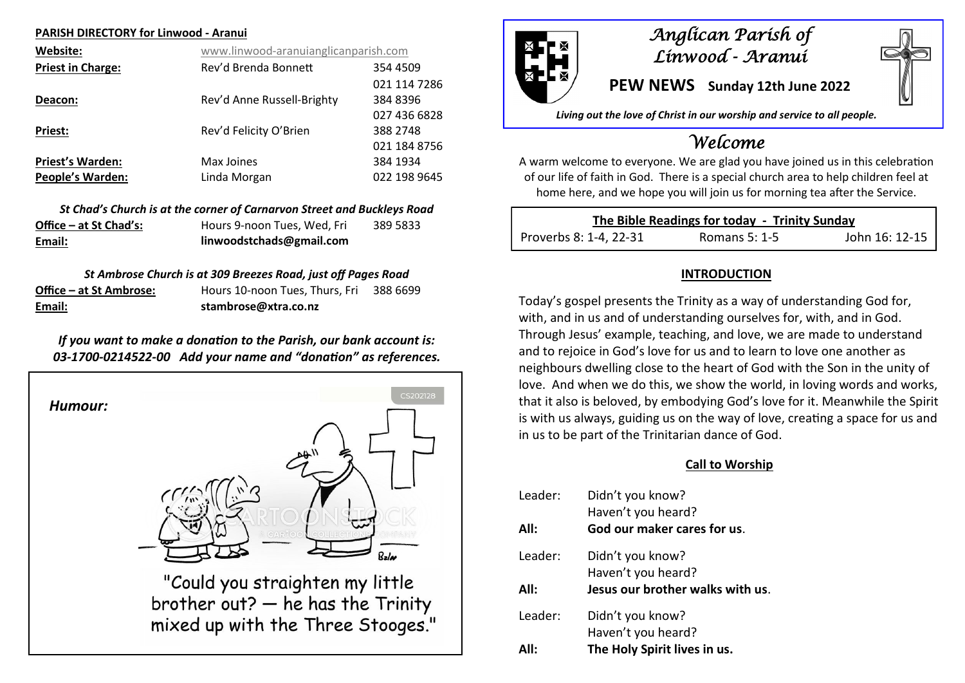#### **PARISH DIRECTORY for Linwood - Aranui**

| Website:                 | www.linwood-aranuianglicanparish.com |              |
|--------------------------|--------------------------------------|--------------|
| <b>Priest in Charge:</b> | Rev'd Brenda Bonnett                 | 354 4509     |
|                          |                                      | 021 114 7286 |
| Deacon:                  | Rev'd Anne Russell-Brighty           | 384 8396     |
|                          |                                      | 027 436 6828 |
| <b>Priest:</b>           | Rev'd Felicity O'Brien               | 388 2748     |
|                          |                                      | 021 184 8756 |
| <b>Priest's Warden:</b>  | Max Joines                           | 384 1934     |
| <b>People's Warden:</b>  | Linda Morgan                         | 022 198 9645 |

|                        | St Chad's Church is at the corner of Carnarvon Street and Buckleys Road |          |
|------------------------|-------------------------------------------------------------------------|----------|
| Office – at St Chad's: | Hours 9-noon Tues. Wed. Fri                                             | 389 5833 |
| Email:                 | linwoodstchads@gmail.com                                                |          |

## *St Ambrose Church is at 309 Breezes Road, just off Pages Road*

| Email:                  | stambrose@xtra.co.nz           |          |
|-------------------------|--------------------------------|----------|
| Office – at St Ambrose: | Hours 10-noon Tues, Thurs, Fri | 388 6699 |

## *If you want to make a donation to the Parish, our bank account is: 03-1700-0214522-00 Add your name and "donation" as references.*





## *Anglican Parish of Linwood - Aranui*

**PEW NEWS Sunday 12th June 2022**

*Living out the love of Christ in our worship and service to all people.*

# *Welcome*

A warm welcome to everyone. We are glad you have joined us in this celebration of our life of faith in God. There is a special church area to help children feel at home here, and we hope you will join us for morning tea after the Service.

| The Bible Readings for today - Trinity Sunday |               |                |
|-----------------------------------------------|---------------|----------------|
| Proverbs 8: 1-4, 22-31                        | Romans 5: 1-5 | John 16: 12-15 |

## **INTRODUCTION**

Today's gospel presents the Trinity as a way of understanding God for, with, and in us and of understanding ourselves for, with, and in God. Through Jesus' example, teaching, and love, we are made to understand and to rejoice in God's love for us and to learn to love one another as neighbours dwelling close to the heart of God with the Son in the unity of love. And when we do this, we show the world, in loving words and works, that it also is beloved, by embodying God's love for it. Meanwhile the Spirit is with us always, guiding us on the way of love, creating a space for us and in us to be part of the Trinitarian dance of God.

## **Call to Worship**

| Leader: | Didn't you know?                                  |
|---------|---------------------------------------------------|
| All:    | Haven't you heard?<br>God our maker cares for us. |
| Leader: | Didn't you know?<br>Haven't you heard?            |
| All:    | Jesus our brother walks with us.                  |
| Leader: | Didn't you know?                                  |
|         | Haven't you heard?                                |
| ΔII·    | The Holy Spirit lives in us.                      |